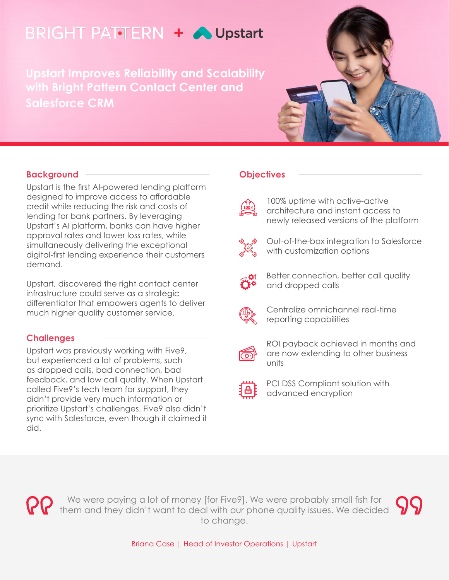# **BRIGHT PATTERN + OUpstart**

**Upstart Improves Reliability and Scalability with Bright Pattern Contact Center and Salesforce CRM**

## **Background**

Upstart is the first AI-powered lending platform designed to improve access to affordable credit while reducing the risk and costs of lending for bank partners. By leveraging Upstart's AI platform, banks can have higher approval rates and lower loss rates, while simultaneously delivering the exceptional digital-first lending experience their customers demand.

Upstart, discovered the right contact center infrastructure could serve as a strategic differentiator that empowers agents to deliver much higher quality customer service.

## **Challenges**

Upstart was previously working with Five9, but experienced a lot of problems, such as dropped calls, bad connection, bad feedback, and low call quality. When Upstart called Five9's tech team for support, they didn't provide very much information or prioritize Upstart's challenges. Five9 also didn't sync with Salesforce, even though it claimed it did.

## **Objectives**



100% uptime with active-active architecture and instant access to newly released versions of the platform



Out-of-the-box integration to Salesforce with customization options



Better connection, better call quality and dropped calls



Centralize omnichannel real-time reporting capabilities



ROI payback achieved in months and are now extending to other business units



PCI DSS Compliant solution with advanced encryption



We were paying a lot of money [for Five9]. We were probably small fish for them and they didn't want to deal with our phone quality issues. We decided to change.